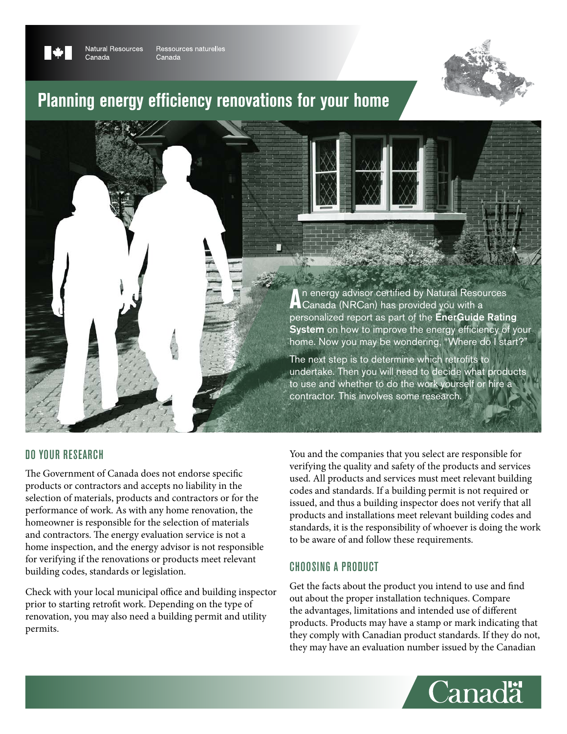

Canada

**Natural Resources** Ressources naturelles Canada



# **Planning energy efficiency renovations for your home**



## Do your research

The Government of Canada does not endorse specific products or contractors and accepts no liability in the selection of materials, products and contractors or for the performance of work. As with any home renovation, the homeowner is responsible for the selection of materials and contractors. The energy evaluation service is not a home inspection, and the energy advisor is not responsible for verifying if the renovations or products meet relevant building codes, standards or legislation.

Check with your local municipal office and building inspector prior to starting retrofit work. Depending on the type of renovation, you may also need a building permit and utility permits.

You and the companies that you select are responsible for verifying the quality and safety of the products and services used. All products and services must meet relevant building codes and standards. If a building permit is not required or issued, and thus a building inspector does not verify that all products and installations meet relevant building codes and standards, it is the responsibility of whoever is doing the work to be aware of and follow these requirements.

## Choosing a product

Get the facts about the product you intend to use and find out about the proper installation techniques. Compare the advantages, limitations and intended use of different products. Products may have a stamp or mark indicating that they comply with Canadian product standards. If they do not, they may have an evaluation number issued by the Canadian

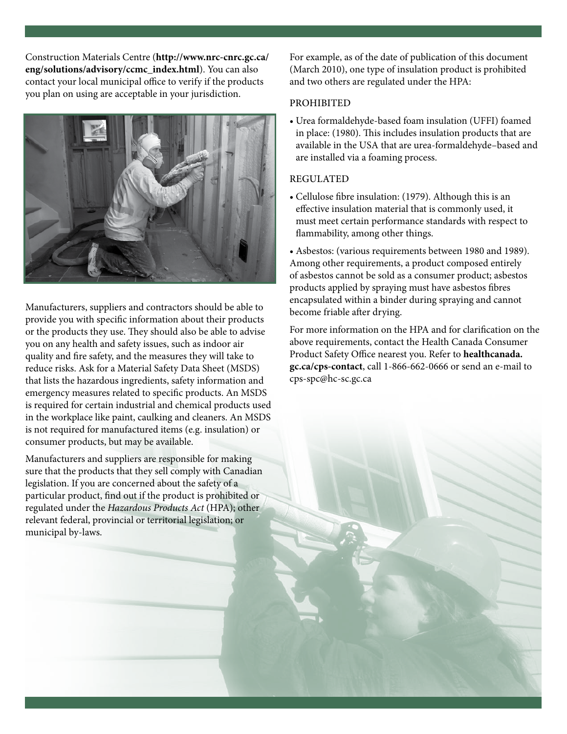Construction Materials Centre (**http://www.nrc-cnrc.gc.ca/ eng/solutions/advisory/ccmc\_index.html**). You can also contact your local municipal office to verify if the products you plan on using are acceptable in your jurisdiction.



Manufacturers, suppliers and contractors should be able to provide you with specific information about their products or the products they use. They should also be able to advise you on any health and safety issues, such as indoor air quality and fire safety, and the measures they will take to reduce risks. Ask for a Material Safety Data Sheet (MSDS) that lists the hazardous ingredients, safety information and emergency measures related to specific products. An MSDS is required for certain industrial and chemical products used in the workplace like paint, caulking and cleaners. An MSDS is not required for manufactured items (e.g. insulation) or consumer products, but may be available.

Manufacturers and suppliers are responsible for making sure that the products that they sell comply with Canadian legislation. If you are concerned about the safety of a particular product, find out if the product is prohibited or regulated under the *Hazardous Products Act* (HPA); other relevant federal, provincial or territorial legislation; or municipal by-laws.

For example, as of the date of publication of this document (March 2010), one type of insulation product is prohibited and two others are regulated under the HPA:

#### **PROHIBITED**

• Urea formaldehyde-based foam insulation (UFFI) foamed in place: (1980). This includes insulation products that are available in the USA that are urea-formaldehyde–based and are installed via a foaming process.

#### **REGULATED**

• Cellulose fibre insulation: (1979). Although this is an effective insulation material that is commonly used, it must meet certain performance standards with respect to flammability, among other things.

• Asbestos: (various requirements between 1980 and 1989). Among other requirements, a product composed entirely of asbestos cannot be sold as a consumer product; asbestos products applied by spraying must have asbestos fibres encapsulated within a binder during spraying and cannot become friable after drying.

For more information on the HPA and for clarification on the above requirements, contact the Health Canada Consumer Product Safety Office nearest you. Refer to **healthcanada. gc.ca/cps-contact**, call 1-866-662-0666 or send an e-mail to cps-spc@hc-sc.gc.ca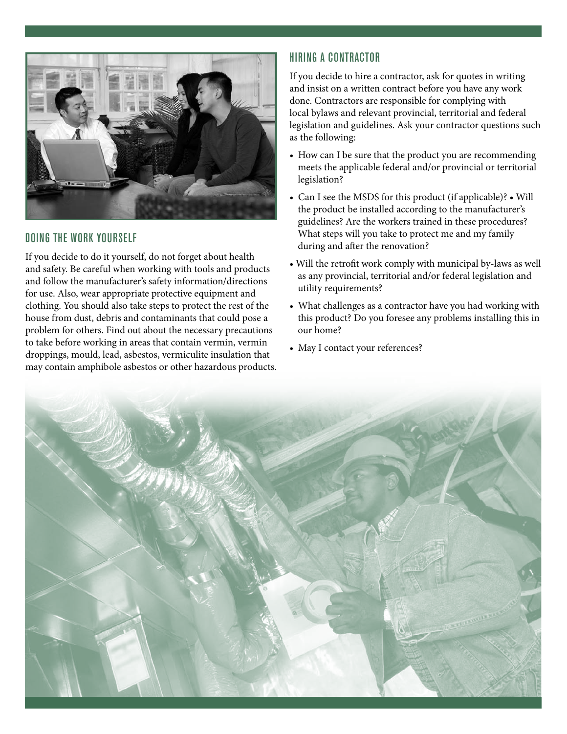

## Doing the work yourself

If you decide to do it yourself, do not forget about health and safety. Be careful when working with tools and products and follow the manufacturer's safety information/directions for use. Also, wear appropriate protective equipment and clothing. You should also take steps to protect the rest of the house from dust, debris and contaminants that could pose a problem for others. Find out about the necessary precautions to take before working in areas that contain vermin, vermin droppings, mould, lead, asbestos, vermiculite insulation that may contain amphibole asbestos or other hazardous products.

# Hiring a contractor

If you decide to hire a contractor, ask for quotes in writing and insist on a written contract before you have any work done. Contractors are responsible for complying with local bylaws and relevant provincial, territorial and federal legislation and guidelines. Ask your contractor questions such as the following:

- How can I be sure that the product you are recommending meets the applicable federal and/or provincial or territorial legislation?
- Can I see the MSDS for this product (if applicable)? Will the product be installed according to the manufacturer's guidelines? Are the workers trained in these procedures? What steps will you take to protect me and my family during and after the renovation?
- Will the retrofit work comply with municipal by-laws as well as any provincial, territorial and/or federal legislation and utility requirements?
- What challenges as a contractor have you had working with this product? Do you foresee any problems installing this in our home?
- May I contact your references?